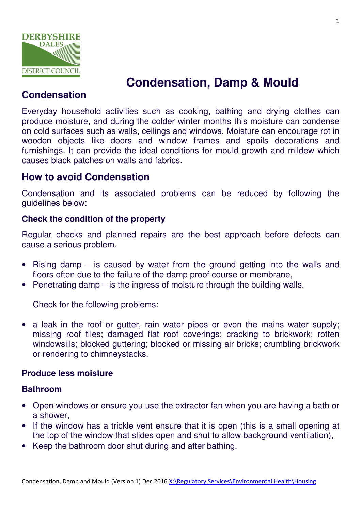

# **Condensation, Damp & Mould**

# **Condensation**

Everyday household activities such as cooking, bathing and drying clothes can produce moisture, and during the colder winter months this moisture can condense on cold surfaces such as walls, ceilings and windows. Moisture can encourage rot in wooden objects like doors and window frames and spoils decorations and furnishings. It can provide the ideal conditions for mould growth and mildew which causes black patches on walls and fabrics.

# **How to avoid Condensation**

Condensation and its associated problems can be reduced by following the guidelines below:

### **Check the condition of the property**

Regular checks and planned repairs are the best approach before defects can cause a serious problem.

- Rising damp is caused by water from the ground getting into the walls and floors often due to the failure of the damp proof course or membrane,
- Penetrating damp is the ingress of moisture through the building walls.

Check for the following problems:

• a leak in the roof or gutter, rain water pipes or even the mains water supply; missing roof tiles; damaged flat roof coverings; cracking to brickwork; rotten windowsills; blocked guttering; blocked or missing air bricks; crumbling brickwork or rendering to chimneystacks.

## **Produce less moisture**

#### **Bathroom**

- Open windows or ensure you use the extractor fan when you are having a bath or a shower,
- If the window has a trickle vent ensure that it is open (this is a small opening at the top of the window that slides open and shut to allow background ventilation),
- Keep the bathroom door shut during and after bathing.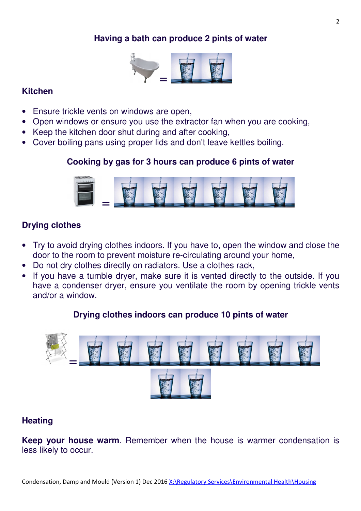## **Having a bath can produce 2 pints of water**



#### **Kitchen**

- Ensure trickle vents on windows are open,
- Open windows or ensure you use the extractor fan when you are cooking,
- Keep the kitchen door shut during and after cooking,
- Cover boiling pans using proper lids and don't leave kettles boiling.

## **Cooking by gas for 3 hours can produce 6 pints of water**



# **Drying clothes**

- Try to avoid drying clothes indoors. If you have to, open the window and close the door to the room to prevent moisture re-circulating around your home,
- Do not dry clothes directly on radiators. Use a clothes rack,
- If you have a tumble dryer, make sure it is vented directly to the outside. If you have a condenser dryer, ensure you ventilate the room by opening trickle vents and/or a window.

## **Drying clothes indoors can produce 10 pints of water**



# **Heating**

**Keep your house warm**. Remember when the house is warmer condensation is less likely to occur.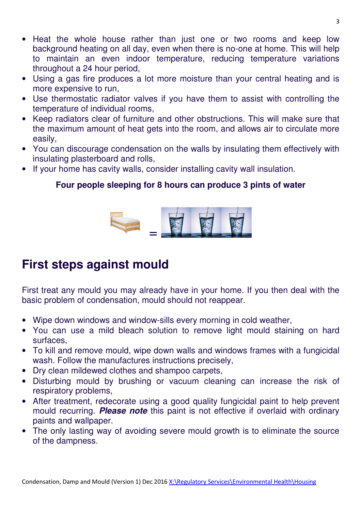- Heat the whole house rather than just one or two rooms and keep low background heating on all day, even when there is no-one at home. This will help to maintain an even indoor temperature, reducing temperature variations throughout a 24 hour period,
- Using a gas fire produces a lot more moisture than your central heating and is more expensive to run,
- Use thermostatic radiator valves if you have them to assist with controlling the temperature of individual rooms,
- Keep radiators clear of furniture and other obstructions. This will make sure that the maximum amount of heat gets into the room, and allows air to circulate more easily,
- You can discourage condensation on the walls by insulating them effectively with insulating plasterboard and rolls,
- If your home has cavity walls, consider installing cavity wall insulation.

# **Four people sleeping for 8 hours can produce 3 pints of water**



# **First steps against mould**

First treat any mould you may already have in your home. If you then deal with the basic problem of condensation, mould should not reappear.

- Wipe down windows and window-sills every morning in cold weather,
- You can use a mild bleach solution to remove light mould staining on hard surfaces,
- To kill and remove mould, wipe down walls and windows frames with a fungicidal wash. Follow the manufactures instructions precisely,
- Dry clean mildewed clothes and shampoo carpets,
- Disturbing mould by brushing or vacuum cleaning can increase the risk of respiratory problems,
- After treatment, redecorate using a good quality fungicidal paint to help prevent mould recurring. **Please note** this paint is not effective if overlaid with ordinary paints and wallpaper.
- The only lasting way of avoiding severe mould growth is to eliminate the source of the dampness.